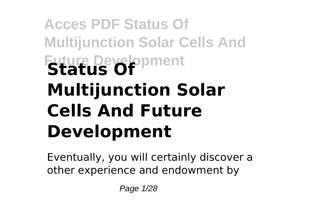# **Acces PDF Status Of Multijunction Solar Cells And Future Development Status Of Multijunction Solar Cells And Future Development**

Eventually, you will certainly discover a other experience and endowment by

Page 1/28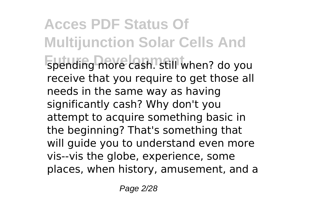**Acces PDF Status Of Multijunction Solar Cells And** spending more cash. still when? do you receive that you require to get those all needs in the same way as having significantly cash? Why don't you attempt to acquire something basic in the beginning? That's something that will guide you to understand even more vis--vis the globe, experience, some places, when history, amusement, and a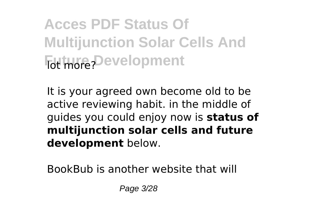**Acces PDF Status Of Multijunction Solar Cells And For more Development** 

It is your agreed own become old to be active reviewing habit. in the middle of guides you could enjoy now is **status of multijunction solar cells and future development** below.

BookBub is another website that will

Page 3/28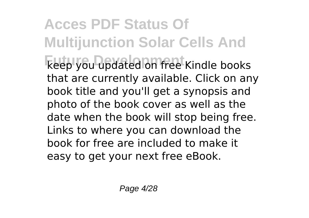**Acces PDF Status Of Multijunction Solar Cells And Future Development** keep you updated on free Kindle books that are currently available. Click on any book title and you'll get a synopsis and photo of the book cover as well as the date when the book will stop being free. Links to where you can download the book for free are included to make it easy to get your next free eBook.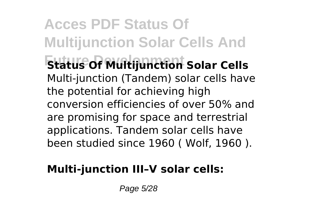**Acces PDF Status Of Multijunction Solar Cells And** *<u>Status of Multijunction</u>* **Solar Cells** Multi-junction (Tandem) solar cells have the potential for achieving high conversion efficiencies of over 50% and are promising for space and terrestrial applications. Tandem solar cells have been studied since 1960 ( Wolf, 1960 ).

#### **Multi-junction III–V solar cells:**

Page 5/28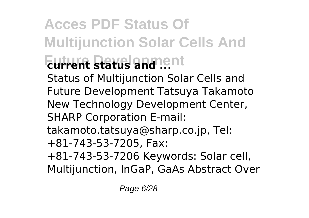### **Acces PDF Status Of Multijunction Solar Cells And Future Status and ent** Status of Multijunction Solar Cells and Future Development Tatsuya Takamoto New Technology Development Center, SHARP Corporation E-mail: takamoto.tatsuya@sharp.co.jp, Tel: +81-743-53-7205, Fax:

+81-743-53-7206 Keywords: Solar cell, Multijunction, InGaP, GaAs Abstract Over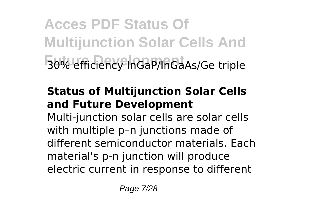**Acces PDF Status Of Multijunction Solar Cells And Future Development** 30% efficiency InGaP/InGaAs/Ge triple

#### **Status of Multijunction Solar Cells and Future Development**

Multi-junction solar cells are solar cells with multiple p–n junctions made of different semiconductor materials. Each material's p-n junction will produce electric current in response to different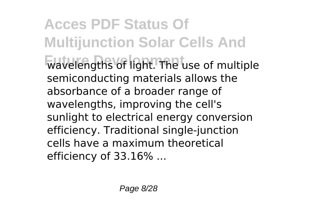**Acces PDF Status Of Multijunction Solar Cells And Future Development** wavelengths of light. The use of multiple semiconducting materials allows the absorbance of a broader range of wavelengths, improving the cell's sunlight to electrical energy conversion efficiency. Traditional single-junction cells have a maximum theoretical efficiency of 33.16% ...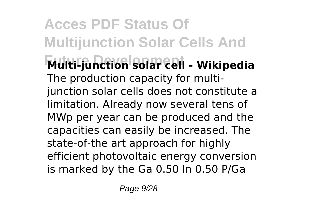**Acces PDF Status Of Multijunction Solar Cells And Future Development Multi-junction solar cell - Wikipedia** The production capacity for multijunction solar cells does not constitute a limitation. Already now several tens of MWp per year can be produced and the capacities can easily be increased. The state-of-the art approach for highly efficient photovoltaic energy conversion is marked by the Ga 0.50 In 0.50 P/Ga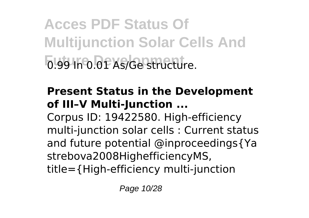**Acces PDF Status Of Multijunction Solar Cells And** 0.99 In 0.01 As/Ge structure.

#### **Present Status in the Development of III–V Multi-Junction ...**

Corpus ID: 19422580. High-efficiency multi-junction solar cells : Current status and future potential @inproceedings{Ya strebova2008HighefficiencyMS, title={High-efficiency multi-junction

Page 10/28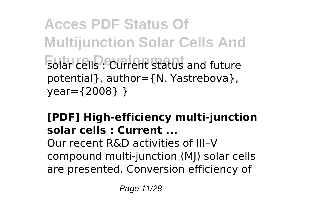## **Acces PDF Status Of Multijunction Solar Cells And Future Development** solar cells : Current status and future potential}, author={N. Yastrebova}, year={2008} }

#### **[PDF] High-efficiency multi-junction solar cells : Current ...**

Our recent R&D activities of III–V compound multi-junction (MJ) solar cells are presented. Conversion efficiency of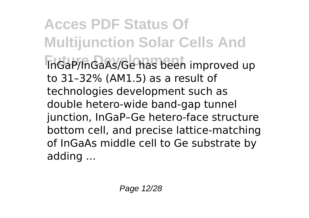**Acces PDF Status Of Multijunction Solar Cells And Future Development** InGaP/InGaAs/Ge has been improved up to 31–32% (AM1.5) as a result of technologies development such as double hetero-wide band-gap tunnel junction, InGaP–Ge hetero-face structure bottom cell, and precise lattice-matching of InGaAs middle cell to Ge substrate by adding ...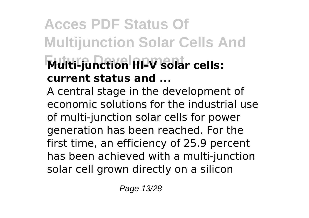## **Acces PDF Status Of Multijunction Solar Cells And Future Development Multi-junction III–V solar cells: current status and ...**

A central stage in the development of economic solutions for the industrial use of multi-junction solar cells for power generation has been reached. For the first time, an efficiency of 25.9 percent has been achieved with a multi-junction solar cell grown directly on a silicon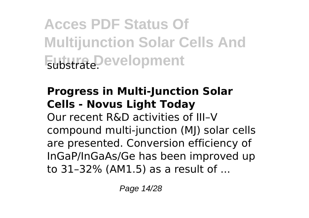**Acces PDF Status Of Multijunction Solar Cells And Futura Development** 

#### **Progress in Multi-Junction Solar Cells - Novus Light Today**

Our recent R&D activities of III–V compound multi-junction (MJ) solar cells are presented. Conversion efficiency of InGaP/InGaAs/Ge has been improved up to 31–32% (AM1.5) as a result of ...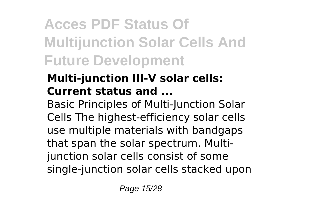## **Acces PDF Status Of Multijunction Solar Cells And Future Development**

### **Multi-junction III-V solar cells: Current status and ...**

Basic Principles of Multi-Junction Solar Cells The highest-efficiency solar cells use multiple materials with bandgaps that span the solar spectrum. Multijunction solar cells consist of some single-junction solar cells stacked upon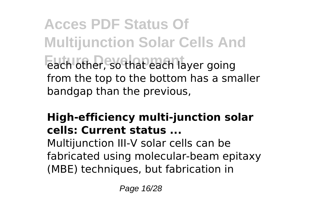**Acces PDF Status Of Multijunction Solar Cells And Funta** each other, so that each layer going from the top to the bottom has a smaller bandgap than the previous,

#### **High-efficiency multi-junction solar cells: Current status ...**

Multijunction III-V solar cells can be fabricated using molecular-beam epitaxy (MBE) techniques, but fabrication in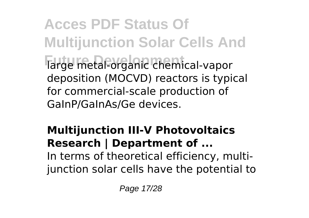**Acces PDF Status Of Multijunction Solar Cells And Future Development** large metal-organic chemical-vapor deposition (MOCVD) reactors is typical for commercial-scale production of GaInP/GaInAs/Ge devices.

#### **Multijunction III-V Photovoltaics Research | Department of ...** In terms of theoretical efficiency, multijunction solar cells have the potential to

Page 17/28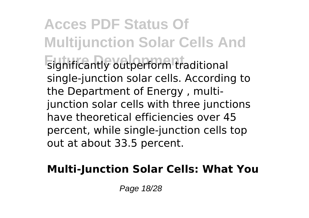**Acces PDF Status Of Multijunction Solar Cells And Future Development** significantly outperform traditional single-junction solar cells. According to the Department of Energy , multijunction solar cells with three junctions have theoretical efficiencies over 45 percent, while single-junction cells top out at about 33.5 percent.

#### **Multi-Junction Solar Cells: What You**

Page 18/28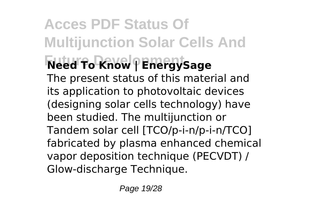### **Acces PDF Status Of Multijunction Solar Cells And Future Development Need To Know | EnergySage** The present status of this material and its application to photovoltaic devices (designing solar cells technology) have been studied. The multijunction or Tandem solar cell [TCO/p-i-n/p-i-n/TCO] fabricated by plasma enhanced chemical vapor deposition technique (PECVDT) / Glow-discharge Technique.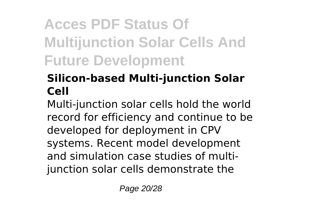## **Acces PDF Status Of Multijunction Solar Cells And Future Development**

### **Silicon-based Multi-junction Solar Cell**

Multi-junction solar cells hold the world record for efficiency and continue to be developed for deployment in CPV systems. Recent model development and simulation case studies of multijunction solar cells demonstrate the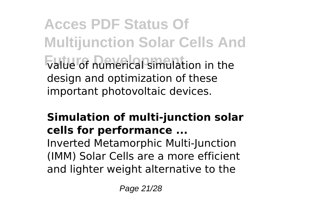**Acces PDF Status Of Multijunction Solar Cells And Future Development** value of numerical simulation in the design and optimization of these important photovoltaic devices.

#### **Simulation of multi-junction solar cells for performance ...**

Inverted Metamorphic Multi-Junction (IMM) Solar Cells are a more efficient and lighter weight alternative to the

Page 21/28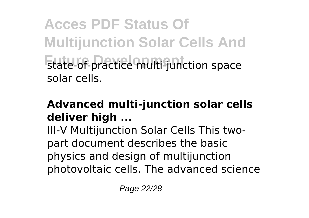**Acces PDF Status Of Multijunction Solar Cells And Future Development** state-of-practice multi-junction space solar cells.

#### **Advanced multi-junction solar cells deliver high ...**

III-V Multijunction Solar Cells This twopart document describes the basic physics and design of multijunction photovoltaic cells. The advanced science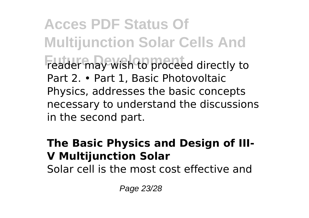**Acces PDF Status Of Multijunction Solar Cells And Future Development** reader may wish to proceed directly to Part 2. • Part 1, Basic Photovoltaic Physics, addresses the basic concepts necessary to understand the discussions in the second part.

#### **The Basic Physics and Design of III-V Multijunction Solar**

Solar cell is the most cost effective and

Page 23/28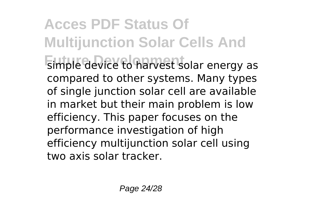### **Acces PDF Status Of Multijunction Solar Cells And Future Device to harvest solar energy as** compared to other systems. Many types of single junction solar cell are available in market but their main problem is low efficiency. This paper focuses on the performance investigation of high efficiency multijunction solar cell using two axis solar tracker.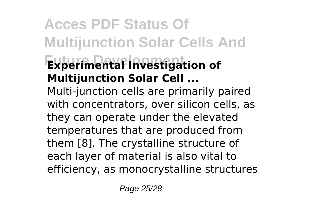## **Acces PDF Status Of Multijunction Solar Cells And Experimental Investigation of Multijunction Solar Cell ...**

Multi-junction cells are primarily paired with concentrators, over silicon cells, as they can operate under the elevated temperatures that are produced from them [8]. The crystalline structure of each layer of material is also vital to efficiency, as monocrystalline structures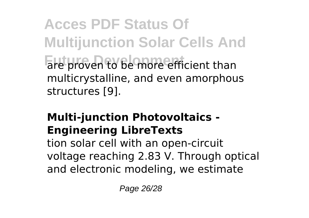**Acces PDF Status Of Multijunction Solar Cells And** are proven to be more efficient than multicrystalline, and even amorphous structures [9].

#### **Multi-junction Photovoltaics - Engineering LibreTexts**

tion solar cell with an open-circuit voltage reaching 2.83 V. Through optical and electronic modeling, we estimate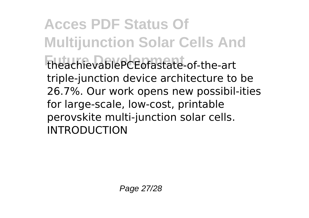**Acces PDF Status Of Multijunction Solar Cells And Future Development** theachievablePCEofastate-of-the-art triple-junction device architecture to be 26.7%. Our work opens new possibil-ities for large-scale, low-cost, printable perovskite multi-junction solar cells. INTRODUCTION